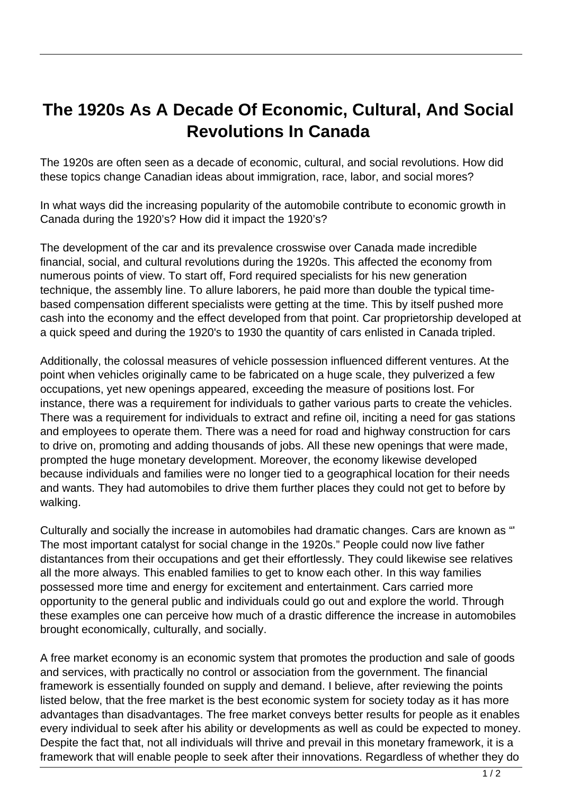## **The 1920s As A Decade Of Economic, Cultural, And Social Revolutions In Canada**

The 1920s are often seen as a decade of economic, cultural, and social revolutions. How did these topics change Canadian ideas about immigration, race, labor, and social mores?

In what ways did the increasing popularity of the automobile contribute to economic growth in Canada during the 1920's? How did it impact the 1920's?

The development of the car and its prevalence crosswise over Canada made incredible financial, social, and cultural revolutions during the 1920s. This affected the economy from numerous points of view. To start off, Ford required specialists for his new generation technique, the assembly line. To allure laborers, he paid more than double the typical timebased compensation different specialists were getting at the time. This by itself pushed more cash into the economy and the effect developed from that point. Car proprietorship developed at a quick speed and during the 1920's to 1930 the quantity of cars enlisted in Canada tripled.

Additionally, the colossal measures of vehicle possession influenced different ventures. At the point when vehicles originally came to be fabricated on a huge scale, they pulverized a few occupations, yet new openings appeared, exceeding the measure of positions lost. For instance, there was a requirement for individuals to gather various parts to create the vehicles. There was a requirement for individuals to extract and refine oil, inciting a need for gas stations and employees to operate them. There was a need for road and highway construction for cars to drive on, promoting and adding thousands of jobs. All these new openings that were made, prompted the huge monetary development. Moreover, the economy likewise developed because individuals and families were no longer tied to a geographical location for their needs and wants. They had automobiles to drive them further places they could not get to before by walking.

Culturally and socially the increase in automobiles had dramatic changes. Cars are known as "' The most important catalyst for social change in the 1920s." People could now live father distantances from their occupations and get their effortlessly. They could likewise see relatives all the more always. This enabled families to get to know each other. In this way families possessed more time and energy for excitement and entertainment. Cars carried more opportunity to the general public and individuals could go out and explore the world. Through these examples one can perceive how much of a drastic difference the increase in automobiles brought economically, culturally, and socially.

A free market economy is an economic system that promotes the production and sale of goods and services, with practically no control or association from the government. The financial framework is essentially founded on supply and demand. I believe, after reviewing the points listed below, that the free market is the best economic system for society today as it has more advantages than disadvantages. The free market conveys better results for people as it enables every individual to seek after his ability or developments as well as could be expected to money. Despite the fact that, not all individuals will thrive and prevail in this monetary framework, it is a framework that will enable people to seek after their innovations. Regardless of whether they do